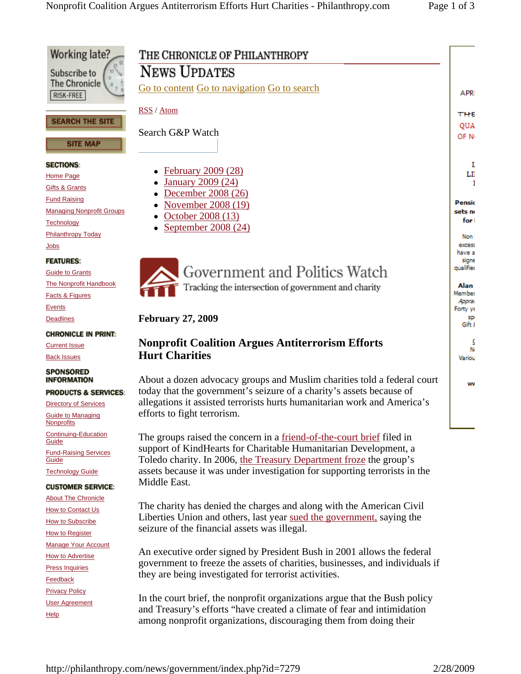

An executive order signed by President Bush in 2001 allows the federal government to freeze the assets of charities, businesses, and individuals if they are being investigated for terrorist activities.

In the court brief, the nonprofit organizations argue that the Bush policy and Treasury's efforts "have created a climate of fear and intimidation among nonprofit organizations, discouraging them from doing their

**How to Advertise** Press Inquiries **Feedback** Privacy Policy User Agreement

**Help**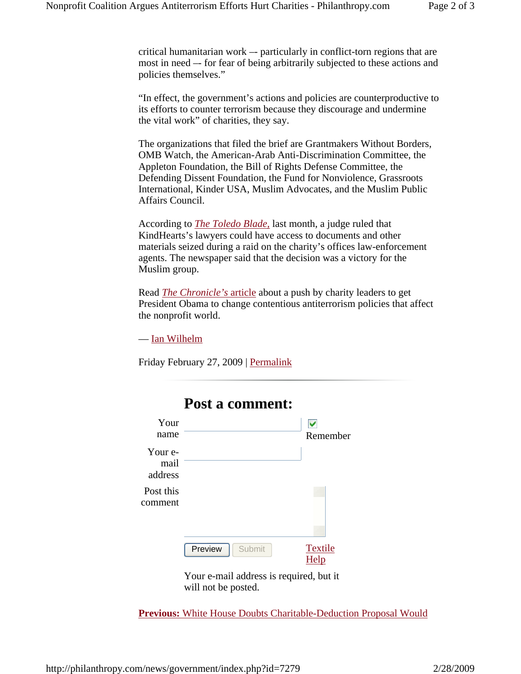critical humanitarian work –- particularly in conflict-torn regions that are most in need –- for fear of being arbitrarily subjected to these actions and policies themselves."

"In effect, the government's actions and policies are counterproductive to its efforts to counter terrorism because they discourage and undermine the vital work" of charities, they say.

The organizations that filed the brief are Grantmakers Without Borders, OMB Watch, the American-Arab Anti-Discrimination Committee, the Appleton Foundation, the Bill of Rights Defense Committee, the Defending Dissent Foundation, the Fund for Nonviolence, Grassroots International, Kinder USA, Muslim Advocates, and the Muslim Public Affairs Council.

According to *The Toledo Blade,* last month, a judge ruled that KindHearts's lawyers could have access to documents and other materials seized during a raid on the charity's offices law-enforcement agents. The newspaper said that the decision was a victory for the Muslim group.

Read *The Chronicle's* article about a push by charity leaders to get President Obama to change contentious antiterrorism policies that affect the nonprofit world.

— Ian Wilhelm

Friday February 27, 2009 | Permalink



**Post a comment:** 

## Your e-mail address is required, but it will not be posted.

**Previous:** White House Doubts Charitable-Deduction Proposal Would

## http://philanthropy.com/news/government/index.php?id=7279 2/28/2009